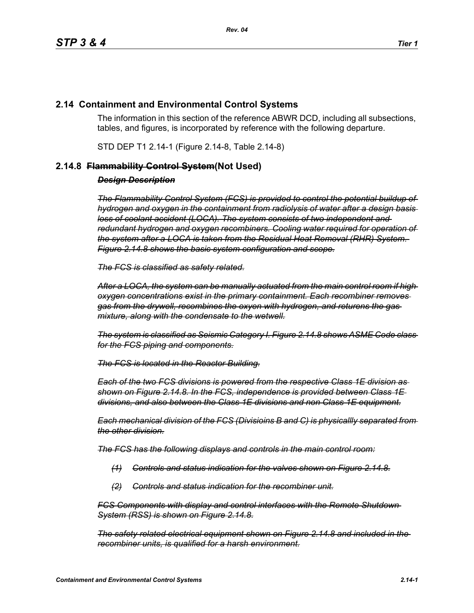# **2.14 Containment and Environmental Control Systems**

The information in this section of the reference ABWR DCD, including all subsections, tables, and figures, is incorporated by reference with the following departure.

STD DEP T1 2.14-1 (Figure 2.14-8, Table 2.14-8)

## **2.14.8 Flammability Control System(Not Used)**

### *Design Description*

*The Flammability Control System (FCS) is provided to control the potential buildup of hydrogen and oxygen in the containment from radiolysis of water after a design basis loss of coolant accident (LOCA). The system consists of two independent and redundant hydrogen and oxygen recombiners. Cooling water required for operation of the system after a LOCA is taken from the Residual Heat Removal (RHR) System. Figure 2.14.8 shows the basic system configuration and scope.*

*The FCS is classified as safety related.*

*After a LOCA, the system can be manually actuated from the main control room if high oxygen concentrations exist in the primary containment. Each recombiner removes gas from the drywell, recombines the oxyen with hydrogen, and returens the gas mixture, along with the condensate to the wetwell.*

*The system is classified as Seismic Category I. Figure 2.14.8 shows ASME Code class for the FCS piping and components.*

*The FCS is located in the Reactor Building.*

*Each of the two FCS divisions is powered from the respective Class 1E division as shown on Figure 2.14.8. In the FCS, independence is provided between Class 1E divisions, and also between the Class 1E divisions and non Class 1E equipment.*

*Each mechanical division of the FCS (Divisioins B and C) is physicallly separated from the other division.*

*The FCS has the following displays and controls in the main control room:*

- *(1) Controls and status indication for the valves shown on Figure 2.14.8.*
- *(2) Controls and status indication for the recombiner unit.*

*FCS Components with display and control interfaces with the Remote Shutdown System (RSS) is shown on Figure 2.14.8.*

*The safety related electrical equipment shown on Figure 2.14.8 and included in the recombiner units, is qualified for a harsh environment.*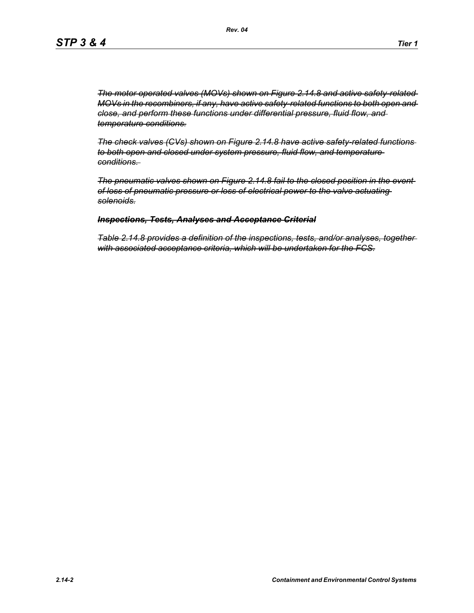*The motor operated valves (MOVs) shown on Figure 2.14.8 and active safety-related MOVs in the recombiners, if any, have active safety-related functions to both open and close, and perform these functions under differential pressure, fluid flow, and temperature conditions.*

*The check valves (CVs) shown on Figure 2.14.8 have active safety-related functions to both open and closed under system pressure, fluid flow, and temperature conditions.* 

*The pneumatic valves shown on Figure 2.14.8 fail to the closed position in the event of loss of pneumatic pressure or loss of electrical power to the valve actuating solenoids.*

#### *Inspections, Tests, Analyses and Acceptance Criterial*

*Table 2.14.8 provides a definition of the inspections, tests, and/or analyses, together with associated acceptance criteria, which will be undertaken for the FCS.*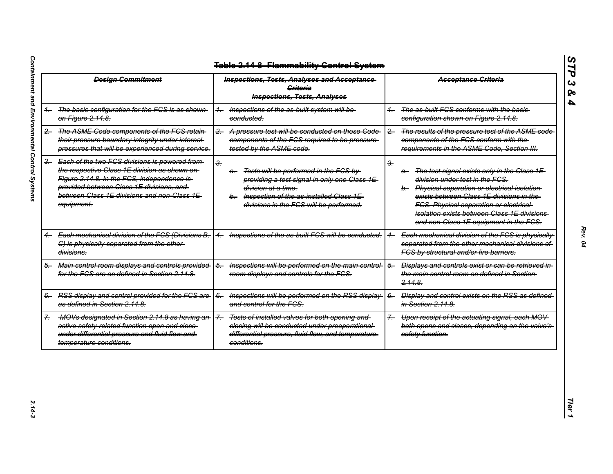| <b>Design Commitment</b> |                                                                                                                                                                                                                                                       | <b>Inspections, Tests, Analyses and Acceptance</b><br><b>Griteria</b><br><b>Inspections, Tests, Analyses</b>                                                                                                                                   | <b>Acceptance Criteria</b>                                                                                                                                                                                                                                                                                                                          |
|--------------------------|-------------------------------------------------------------------------------------------------------------------------------------------------------------------------------------------------------------------------------------------------------|------------------------------------------------------------------------------------------------------------------------------------------------------------------------------------------------------------------------------------------------|-----------------------------------------------------------------------------------------------------------------------------------------------------------------------------------------------------------------------------------------------------------------------------------------------------------------------------------------------------|
|                          | The basic configuration for the FCS is as shown<br>on Figure 2.14.8.                                                                                                                                                                                  | Inspections of the as built system will be-<br>$+$<br>conducted.                                                                                                                                                                               | The as built FCS conforms with the basic-<br>configuration shown on Figure 2.14.8.                                                                                                                                                                                                                                                                  |
| $-$                      | The ASME Code components of the FCS retain-<br>their pressure boundary integrity under internal-<br>pressures that will be experienced during service.                                                                                                | A pressure test will be conducted on those Code-<br>$-2$<br>components of the FCS required to be pressure-<br>tested by the ASME code.                                                                                                         | The results of the pressure test of the ASME code<br>$\overline{2}$<br>components of the FCS conform with the-<br>requirements in the ASME Code, Section III.                                                                                                                                                                                       |
| $\frac{3}{2}$            | Each of the two FCS divisions is powered from<br>the respective Class 1E division as shown on-<br>Figure 2.14.8. In the FCS, independence is<br>provided between Class 1E divisions, and<br>between Class 1E divisions and non Class 1E<br>equipment. | $\frac{2}{\pi}$<br>Tests will be performed in the FCS by<br>a—<br>providing a test signal in only one Class 1E-<br><del>division at a time.</del><br>Inspection of the as-installed Class 1E-<br>b-<br>divisions in the FCS will be performed. | $\frac{2}{\pi}$<br>The test signal exists only in the Class 1E-<br>a.<br>division under test in the FCS.<br>b. Physical separation or electrical isolation<br>exists between Class 1E divisions in the-<br><b>FCS. Physical separation or electrical-</b><br>isolation exists between Class 1E divisions-<br>and non-Class 1E equipment in the FCS. |
|                          | Each mechanical division of the FCS (Divisions B,<br>C) is physically separated from the other-<br>divisions.                                                                                                                                         | Inspections of the as built FCS will be conducted.                                                                                                                                                                                             | Each mechanical division of the FCS is physically<br>separated from the other mechanical divisions of<br>FCS by structural and/or fire barriers.                                                                                                                                                                                                    |
| 5-                       | Main control room displays and controls provided<br>for the FCS are as defined in Section 2.14.8.                                                                                                                                                     | Inspections will be performed on the main control-<br>$\overline{6}$<br>room displays and controls for the FCS.                                                                                                                                | <b>Displays and controls exist or can be retrieved in-</b><br>$6-$<br>the main control room as defined in Section-<br>2.14.8                                                                                                                                                                                                                        |
|                          | RSS display and control provided for the FCS are<br>as defined in Section 2.14.8.                                                                                                                                                                     | Inspections will be performed on the RSS display-<br>$6-$<br>and control for the FCS.                                                                                                                                                          | Display and control exists on the RSS as defined-<br>$6-$<br>in Section 2.14.8.                                                                                                                                                                                                                                                                     |
|                          | MOVs designated in Section 2.14.8 as having an-<br>active safety related function open and close-<br>under differential pressure and fluid flow and<br>temperature conditions.                                                                        | $\overline{z}$<br>Tests of installed valves for both opening and<br>closing will be conducted under preoperational-<br>differential pressure, fluid flow, and temperature-<br>conditions.                                                      | Upon receipt of the actuating signal, each MOV<br>$\overline{f}$<br>both opens and closes, depending on the valve's-<br>safety function.                                                                                                                                                                                                            |

*STP 3 & 4*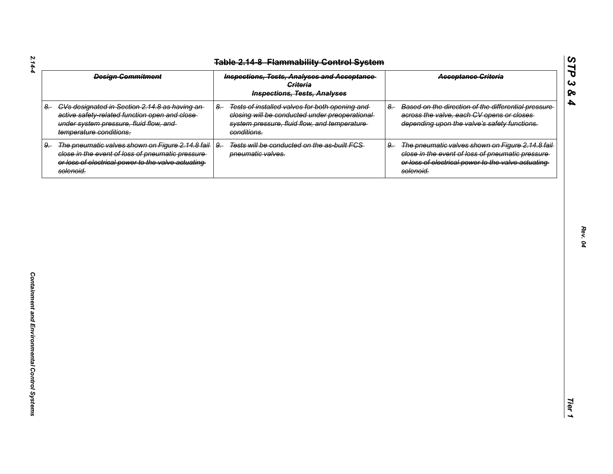| <b>Design Commitment</b>                                                                                                                                                         | <b>Inspections, Tests, Analyses and Acceptance</b><br><b>Criteria</b><br><b>Inspections, Tests, Analyses</b>                                                            | <b>Acceptance Griteria</b>                                                                                                                                                     |
|----------------------------------------------------------------------------------------------------------------------------------------------------------------------------------|-------------------------------------------------------------------------------------------------------------------------------------------------------------------------|--------------------------------------------------------------------------------------------------------------------------------------------------------------------------------|
| 8. CVs designated in Section 2.14.8 as having an-<br>active safety-related function open and close-<br>under system pressure, fluid flow, and<br>temperature conditions.         | Tests of installed valves for both opening and<br>$8-$<br>closing will be conducted under preoperational<br>system pressure, fluid flow, and temperature<br>conditions. | Based on the direction of the differential pressure<br>$8-$<br>across the valve, each CV opens or closes<br>depending upon the valve's safety functions.                       |
| The pneumatic valves shown on Figure 2.14.8 fail-<br>9.<br>close in the event of loss of pneumatic pressure-<br>or loss of electrical power to the valve actuating-<br>solenoid. | $9 -$<br>Tests will be conducted on the as-built FCS-<br>pneumatic valves.                                                                                              | The pneumatic valves shown on Figure 2.14.8 fail-<br>9.<br>close in the event of loss of pneumatic pressure<br>or loss of electrical power to the valve actuating<br>solenoid. |
|                                                                                                                                                                                  |                                                                                                                                                                         |                                                                                                                                                                                |
|                                                                                                                                                                                  |                                                                                                                                                                         |                                                                                                                                                                                |
|                                                                                                                                                                                  |                                                                                                                                                                         |                                                                                                                                                                                |
|                                                                                                                                                                                  |                                                                                                                                                                         |                                                                                                                                                                                |
|                                                                                                                                                                                  |                                                                                                                                                                         |                                                                                                                                                                                |
|                                                                                                                                                                                  |                                                                                                                                                                         |                                                                                                                                                                                |
|                                                                                                                                                                                  |                                                                                                                                                                         |                                                                                                                                                                                |

*Rev. 04*

*STP 3 & 4*